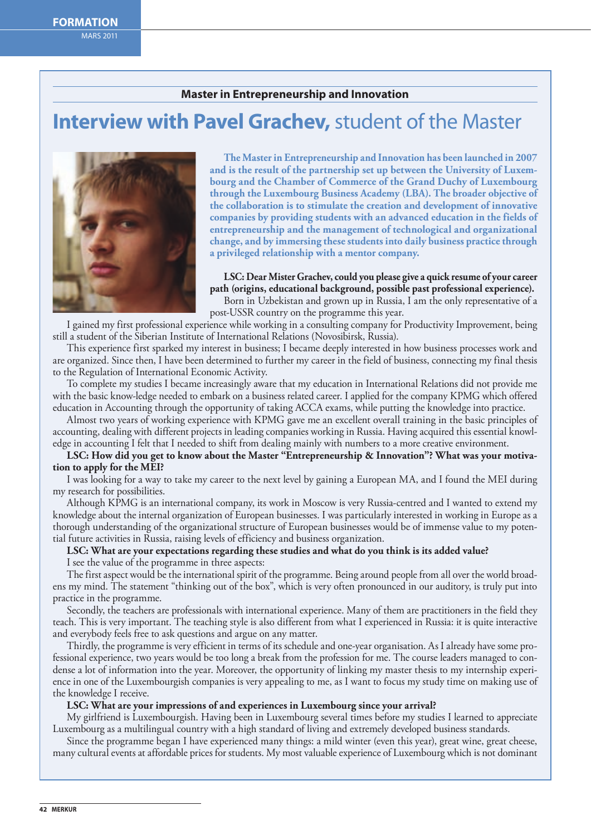## **Master in Entrepreneurship and Innovation**

# **Interview with Pavel Grachev,** student of the Master



**The Master in Entrepreneurship and Innovation has been launched in 2007 and is the result of the partnership set up between the University of Luxembourg and the Chamber of Commerce of the Grand Duchy of Luxembourg through the Luxembourg Business Academy (LBA). The broader objective of the collaboration is to stimulate the creation and development of innovative companies by providing students with an advanced education in the fields of entrepreneurship and the management of technological and organizational change, and by immersing these students into daily business practice through a privileged relationship with a mentor company.** 

**LSC: Dear Mister Grachev, could you please give a quick resume of your career path (origins, educational background, possible past professional experience).**

Born in Uzbekistan and grown up in Russia, I am the only representative of a post-USSR country on the programme this year.

I gained my first professional experience while working in a consulting company for Productivity Improvement, being still a student of the Siberian Institute of International Relations (Novosibirsk, Russia).

This experience first sparked my interest in business; I became deeply interested in how business processes work and are organized. Since then, I have been determined to further my career in the field of business, connecting my final thesis to the Regulation of International Economic Activity.

To complete my studies I became increasingly aware that my education in International Relations did not provide me with the basic know-ledge needed to embark on a business related career. I applied for the company KPMG which offered education in Accounting through the opportunity of taking ACCA exams, while putting the knowledge into practice.

Almost two years of working experience with KPMG gave me an excellent overall training in the basic principles of accounting, dealing with different projects in leading companies working in Russia. Having acquired this essential knowledge in accounting I felt that I needed to shift from dealing mainly with numbers to a more creative environment.

**LSC: How did you get to know about the Master "Entrepreneurship & Innovation"? What was your motivation to apply for the MEI?**

I was looking for a way to take my career to the next level by gaining a European MA, and I found the MEI during my research for possibilities.

Although KPMG is an international company, its work in Moscow is very Russia-centred and I wanted to extend my knowledge about the internal organization of European businesses. I was particularly interested in working in Europe as a thorough understanding of the organizational structure of European businesses would be of immense value to my potential future activities in Russia, raising levels of efficiency and business organization.

**LSC: What are your expectations regarding these studies and what do you think is its added value?**

I see the value of the programme in three aspects:

The first aspect would be the international spirit of the programme. Being around people from all over the world broadens my mind. The statement "thinking out of the box", which is very often pronounced in our auditory, is truly put into practice in the programme.

Secondly, the teachers are professionals with international experience. Many of them are practitioners in the field they teach. This is very important. The teaching style is also different from what I experienced in Russia: it is quite interactive and everybody feels free to ask questions and argue on any matter.

Thirdly, the programme is very efficient in terms of its schedule and one-year organisation. As I already have some professional experience, two years would be too long a break from the profession for me. The course leaders managed to condense a lot of information into the year. Moreover, the opportunity of linking my master thesis to my internship experience in one of the Luxembourgish companies is very appealing to me, as I want to focus my study time on making use of the knowledge I receive.

### **LSC: What are your impressions of and experiences in Luxembourg since your arrival?**

My girlfriend is Luxembourgish. Having been in Luxembourg several times before my studies I learned to appreciate Luxembourg as a multilingual country with a high standard of living and extremely developed business standards.

Since the programme began I have experienced many things: a mild winter (even this year), great wine, great cheese, many cultural events at affordable prices for students. My most valuable experience of Luxembourg which is not dominant